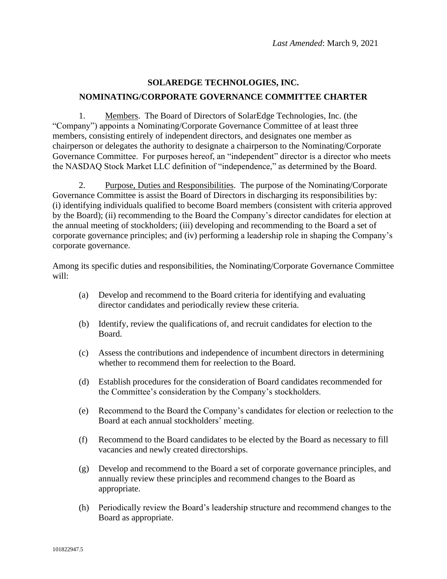## **SOLAREDGE TECHNOLOGIES, INC. NOMINATING/CORPORATE GOVERNANCE COMMITTEE CHARTER**

1. Members. The Board of Directors of SolarEdge Technologies, Inc. (the "Company") appoints a Nominating/Corporate Governance Committee of at least three members, consisting entirely of independent directors, and designates one member as chairperson or delegates the authority to designate a chairperson to the Nominating/Corporate Governance Committee. For purposes hereof, an "independent" director is a director who meets the NASDAQ Stock Market LLC definition of "independence," as determined by the Board.

2. Purpose, Duties and Responsibilities. The purpose of the Nominating/Corporate Governance Committee is assist the Board of Directors in discharging its responsibilities by: (i) identifying individuals qualified to become Board members (consistent with criteria approved by the Board); (ii) recommending to the Board the Company's director candidates for election at the annual meeting of stockholders; (iii) developing and recommending to the Board a set of corporate governance principles; and (iv) performing a leadership role in shaping the Company's corporate governance.

Among its specific duties and responsibilities, the Nominating/Corporate Governance Committee will:

- (a) Develop and recommend to the Board criteria for identifying and evaluating director candidates and periodically review these criteria.
- (b) Identify, review the qualifications of, and recruit candidates for election to the Board.
- (c) Assess the contributions and independence of incumbent directors in determining whether to recommend them for reelection to the Board.
- (d) Establish procedures for the consideration of Board candidates recommended for the Committee's consideration by the Company's stockholders.
- (e) Recommend to the Board the Company's candidates for election or reelection to the Board at each annual stockholders' meeting.
- (f) Recommend to the Board candidates to be elected by the Board as necessary to fill vacancies and newly created directorships.
- (g) Develop and recommend to the Board a set of corporate governance principles, and annually review these principles and recommend changes to the Board as appropriate.
- (h) Periodically review the Board's leadership structure and recommend changes to the Board as appropriate.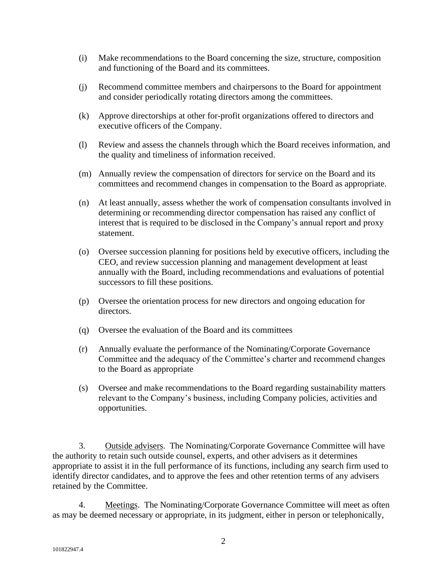- (i) Make recommendations to the Board concerning the size, structure, composition and functioning of the Board and its committees.
- (j) Recommend committee members and chairpersons to the Board for appointment and consider periodically rotating directors among the committees.
- (k) Approve directorships at other for-profit organizations offered to directors and executive officers of the Company.
- (l) Review and assess the channels through which the Board receives information, and the quality and timeliness of information received.
- (m) Annually review the compensation of directors for service on the Board and its committees and recommend changes in compensation to the Board as appropriate.
- (n) At least annually, assess whether the work of compensation consultants involved in determining or recommending director compensation has raised any conflict of interest that is required to be disclosed in the Company's annual report and proxy statement.
- (o) Oversee succession planning for positions held by executive officers, including the CEO, and review succession planning and management development at least annually with the Board, including recommendations and evaluations of potential successors to fill these positions.
- (p) Oversee the orientation process for new directors and ongoing education for directors.
- (q) Oversee the evaluation of the Board and its committees
- (r) Annually evaluate the performance of the Nominating/Corporate Governance Committee and the adequacy of the Committee's charter and recommend changes to the Board as appropriate
- (s) Oversee and make recommendations to the Board regarding sustainability matters relevant to the Company's business, including Company policies, activities and opportunities.

3. Outside advisers. The Nominating/Corporate Governance Committee will have the authority to retain such outside counsel, experts, and other advisers as it determines appropriate to assist it in the full performance of its functions, including any search firm used to identify director candidates, and to approve the fees and other retention terms of any advisers retained by the Committee.

4. Meetings. The Nominating/Corporate Governance Committee will meet as often as may be deemed necessary or appropriate, in its judgment, either in person or telephonically,